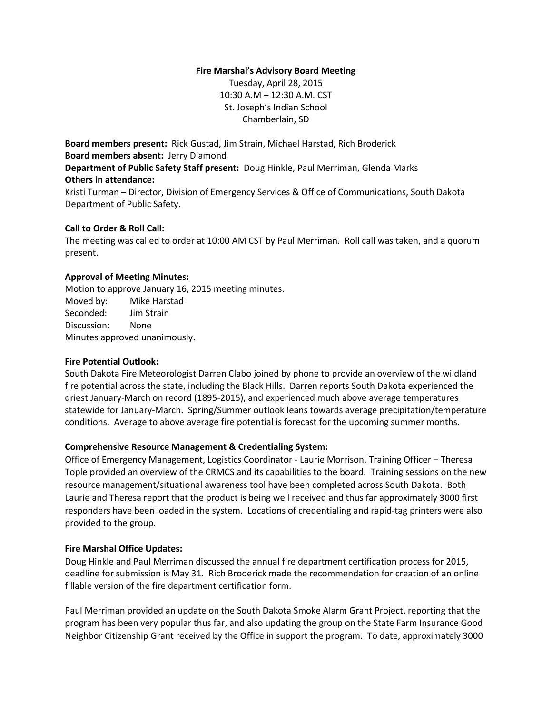## **Fire Marshal's Advisory Board Meeting**

Tuesday, April 28, 2015 10:30 A.M – 12:30 A.M. CST St. Joseph's Indian School Chamberlain, SD

**Board members present:** Rick Gustad, Jim Strain, Michael Harstad, Rich Broderick **Board members absent:** Jerry Diamond **Department of Public Safety Staff present:** Doug Hinkle, Paul Merriman, Glenda Marks **Others in attendance:**

Kristi Turman – Director, Division of Emergency Services & Office of Communications, South Dakota Department of Public Safety.

## **Call to Order & Roll Call:**

The meeting was called to order at 10:00 AM CST by Paul Merriman. Roll call was taken, and a quorum present.

### **Approval of Meeting Minutes:**

Motion to approve January 16, 2015 meeting minutes. Moved by: Mike Harstad Seconded: Jim Strain Discussion: None Minutes approved unanimously.

## **Fire Potential Outlook:**

South Dakota Fire Meteorologist Darren Clabo joined by phone to provide an overview of the wildland fire potential across the state, including the Black Hills. Darren reports South Dakota experienced the driest January-March on record (1895-2015), and experienced much above average temperatures statewide for January-March. Spring/Summer outlook leans towards average precipitation/temperature conditions. Average to above average fire potential is forecast for the upcoming summer months.

# **Comprehensive Resource Management & Credentialing System:**

Office of Emergency Management, Logistics Coordinator - Laurie Morrison, Training Officer – Theresa Tople provided an overview of the CRMCS and its capabilities to the board. Training sessions on the new resource management/situational awareness tool have been completed across South Dakota. Both Laurie and Theresa report that the product is being well received and thus far approximately 3000 first responders have been loaded in the system. Locations of credentialing and rapid-tag printers were also provided to the group.

### **Fire Marshal Office Updates:**

Doug Hinkle and Paul Merriman discussed the annual fire department certification process for 2015, deadline for submission is May 31. Rich Broderick made the recommendation for creation of an online fillable version of the fire department certification form.

Paul Merriman provided an update on the South Dakota Smoke Alarm Grant Project, reporting that the program has been very popular thus far, and also updating the group on the State Farm Insurance Good Neighbor Citizenship Grant received by the Office in support the program. To date, approximately 3000